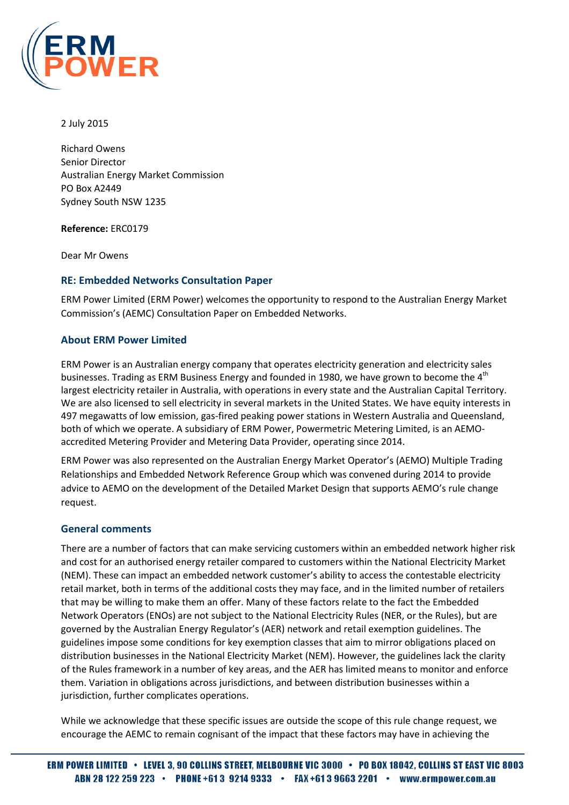

#### 2 July 2015

Richard Owens Senior Director Australian Energy Market Commission PO Box A2449 Sydney South NSW 1235

Reference: ERC0179

Dear Mr Owens

#### RE: Embedded Networks Consultation Paper

ERM Power Limited (ERM Power) welcomes the opportunity to respond to the Australian Energy Market Commission's (AEMC) Consultation Paper on Embedded Networks.

#### About ERM Power Limited

ERM Power is an Australian energy company that operates electricity generation and electricity sales businesses. Trading as ERM Business Energy and founded in 1980, we have grown to become the  $4<sup>th</sup>$ largest electricity retailer in Australia, with operations in every state and the Australian Capital Territory. We are also licensed to sell electricity in several markets in the United States. We have equity interests in 497 megawatts of low emission, gas-fired peaking power stations in Western Australia and Queensland, both of which we operate. A subsidiary of ERM Power, Powermetric Metering Limited, is an AEMOaccredited Metering Provider and Metering Data Provider, operating since 2014.

ERM Power was also represented on the Australian Energy Market Operator's (AEMO) Multiple Trading Relationships and Embedded Network Reference Group which was convened during 2014 to provide advice to AEMO on the development of the Detailed Market Design that supports AEMO's rule change request.

## General comments

There are a number of factors that can make servicing customers within an embedded network higher risk and cost for an authorised energy retailer compared to customers within the National Electricity Market (NEM). These can impact an embedded network customer's ability to access the contestable electricity retail market, both in terms of the additional costs they may face, and in the limited number of retailers that may be willing to make them an offer. Many of these factors relate to the fact the Embedded Network Operators (ENOs) are not subject to the National Electricity Rules (NER, or the Rules), but are governed by the Australian Energy Regulator's (AER) network and retail exemption guidelines. The guidelines impose some conditions for key exemption classes that aim to mirror obligations placed on distribution businesses in the National Electricity Market (NEM). However, the guidelines lack the clarity of the Rules framework in a number of key areas, and the AER has limited means to monitor and enforce them. Variation in obligations across jurisdictions, and between distribution businesses within a jurisdiction, further complicates operations.

While we acknowledge that these specific issues are outside the scope of this rule change request, we encourage the AEMC to remain cognisant of the impact that these factors may have in achieving the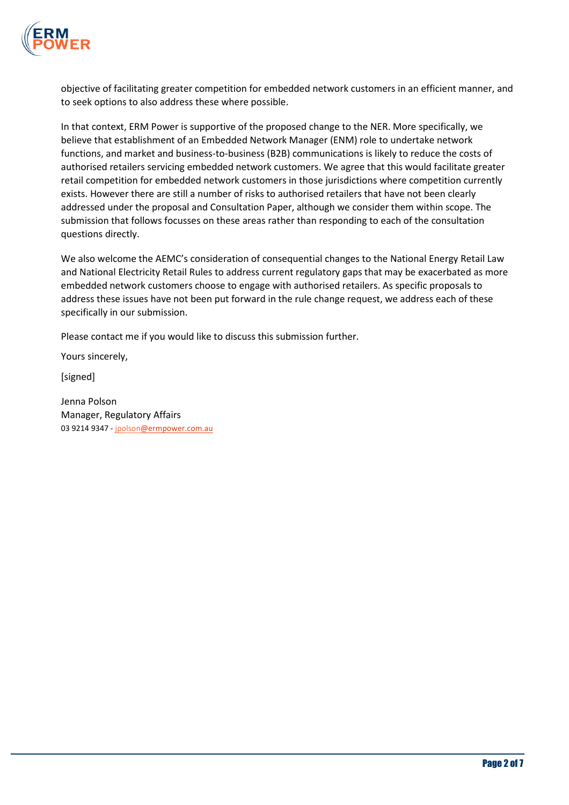

objective of facilitating greater competition for embedded network customers in an efficient manner, and to seek options to also address these where possible.

In that context, ERM Power is supportive of the proposed change to the NER. More specifically, we believe that establishment of an Embedded Network Manager (ENM) role to undertake network functions, and market and business-to-business (B2B) communications is likely to reduce the costs of authorised retailers servicing embedded network customers. We agree that this would facilitate greater retail competition for embedded network customers in those jurisdictions where competition currently exists. However there are still a number of risks to authorised retailers that have not been clearly addressed under the proposal and Consultation Paper, although we consider them within scope. The submission that follows focusses on these areas rather than responding to each of the consultation questions directly.

We also welcome the AEMC's consideration of consequential changes to the National Energy Retail Law and National Electricity Retail Rules to address current regulatory gaps that may be exacerbated as more embedded network customers choose to engage with authorised retailers. As specific proposals to address these issues have not been put forward in the rule change request, we address each of these specifically in our submission.

Please contact me if you would like to discuss this submission further.

Yours sincerely,

[signed]

Jenna Polson Manager, Regulatory Affairs 03 9214 9347 - jpolson@ermpower.com.au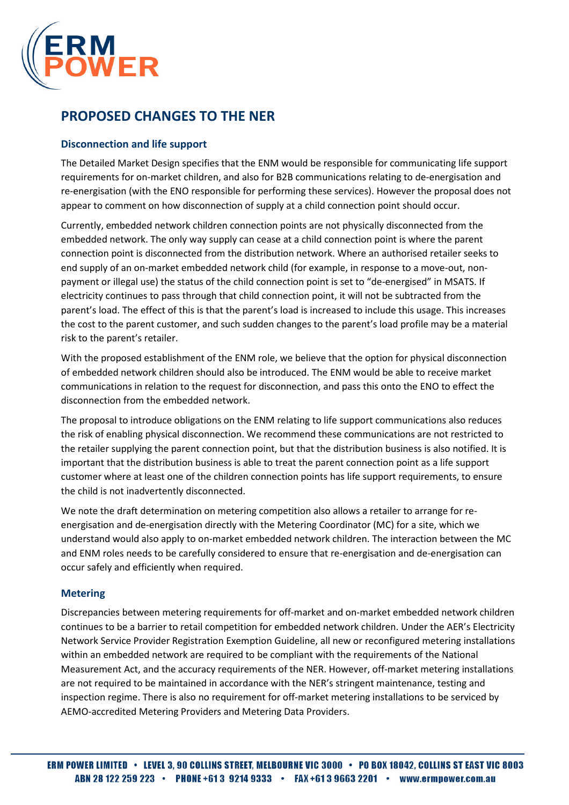

## PROPOSED CHANGES TO THE NER

## Disconnection and life support

The Detailed Market Design specifies that the ENM would be responsible for communicating life support requirements for on-market children, and also for B2B communications relating to de-energisation and re-energisation (with the ENO responsible for performing these services). However the proposal does not appear to comment on how disconnection of supply at a child connection point should occur.

Currently, embedded network children connection points are not physically disconnected from the embedded network. The only way supply can cease at a child connection point is where the parent connection point is disconnected from the distribution network. Where an authorised retailer seeks to end supply of an on-market embedded network child (for example, in response to a move-out, nonpayment or illegal use) the status of the child connection point is set to "de-energised" in MSATS. If electricity continues to pass through that child connection point, it will not be subtracted from the parent's load. The effect of this is that the parent's load is increased to include this usage. This increases the cost to the parent customer, and such sudden changes to the parent's load profile may be a material risk to the parent's retailer.

With the proposed establishment of the ENM role, we believe that the option for physical disconnection of embedded network children should also be introduced. The ENM would be able to receive market communications in relation to the request for disconnection, and pass this onto the ENO to effect the disconnection from the embedded network.

The proposal to introduce obligations on the ENM relating to life support communications also reduces the risk of enabling physical disconnection. We recommend these communications are not restricted to the retailer supplying the parent connection point, but that the distribution business is also notified. It is important that the distribution business is able to treat the parent connection point as a life support customer where at least one of the children connection points has life support requirements, to ensure the child is not inadvertently disconnected.

We note the draft determination on metering competition also allows a retailer to arrange for reenergisation and de-energisation directly with the Metering Coordinator (MC) for a site, which we understand would also apply to on-market embedded network children. The interaction between the MC and ENM roles needs to be carefully considered to ensure that re-energisation and de-energisation can occur safely and efficiently when required.

## **Metering**

Discrepancies between metering requirements for off-market and on-market embedded network children continues to be a barrier to retail competition for embedded network children. Under the AER's Electricity Network Service Provider Registration Exemption Guideline, all new or reconfigured metering installations within an embedded network are required to be compliant with the requirements of the National Measurement Act, and the accuracy requirements of the NER. However, off-market metering installations are not required to be maintained in accordance with the NER's stringent maintenance, testing and inspection regime. There is also no requirement for off-market metering installations to be serviced by AEMO-accredited Metering Providers and Metering Data Providers.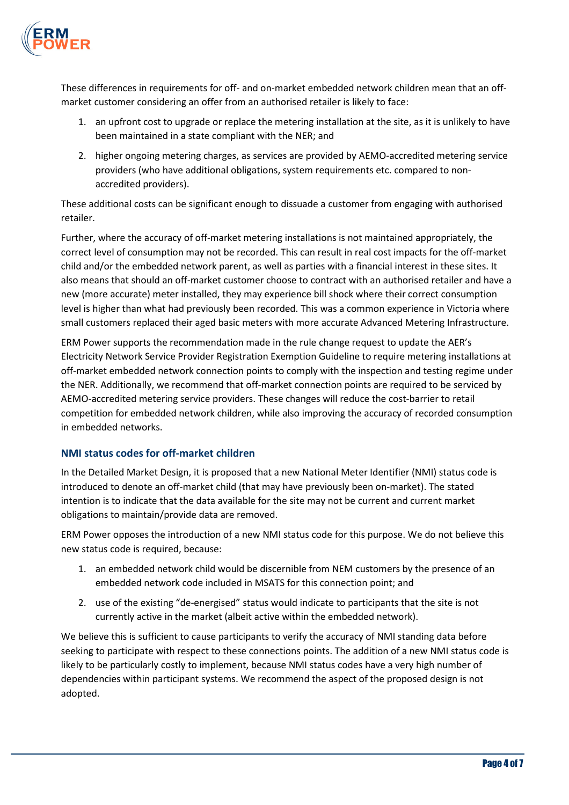

These differences in requirements for off- and on-market embedded network children mean that an offmarket customer considering an offer from an authorised retailer is likely to face:

- 1. an upfront cost to upgrade or replace the metering installation at the site, as it is unlikely to have been maintained in a state compliant with the NER; and
- 2. higher ongoing metering charges, as services are provided by AEMO-accredited metering service providers (who have additional obligations, system requirements etc. compared to nonaccredited providers).

These additional costs can be significant enough to dissuade a customer from engaging with authorised retailer.

Further, where the accuracy of off-market metering installations is not maintained appropriately, the correct level of consumption may not be recorded. This can result in real cost impacts for the off-market child and/or the embedded network parent, as well as parties with a financial interest in these sites. It also means that should an off-market customer choose to contract with an authorised retailer and have a new (more accurate) meter installed, they may experience bill shock where their correct consumption level is higher than what had previously been recorded. This was a common experience in Victoria where small customers replaced their aged basic meters with more accurate Advanced Metering Infrastructure.

ERM Power supports the recommendation made in the rule change request to update the AER's Electricity Network Service Provider Registration Exemption Guideline to require metering installations at off-market embedded network connection points to comply with the inspection and testing regime under the NER. Additionally, we recommend that off-market connection points are required to be serviced by AEMO-accredited metering service providers. These changes will reduce the cost-barrier to retail competition for embedded network children, while also improving the accuracy of recorded consumption in embedded networks.

## NMI status codes for off-market children

In the Detailed Market Design, it is proposed that a new National Meter Identifier (NMI) status code is introduced to denote an off-market child (that may have previously been on-market). The stated intention is to indicate that the data available for the site may not be current and current market obligations to maintain/provide data are removed.

ERM Power opposes the introduction of a new NMI status code for this purpose. We do not believe this new status code is required, because:

- 1. an embedded network child would be discernible from NEM customers by the presence of an embedded network code included in MSATS for this connection point; and
- 2. use of the existing "de-energised" status would indicate to participants that the site is not currently active in the market (albeit active within the embedded network).

We believe this is sufficient to cause participants to verify the accuracy of NMI standing data before seeking to participate with respect to these connections points. The addition of a new NMI status code is likely to be particularly costly to implement, because NMI status codes have a very high number of dependencies within participant systems. We recommend the aspect of the proposed design is not adopted.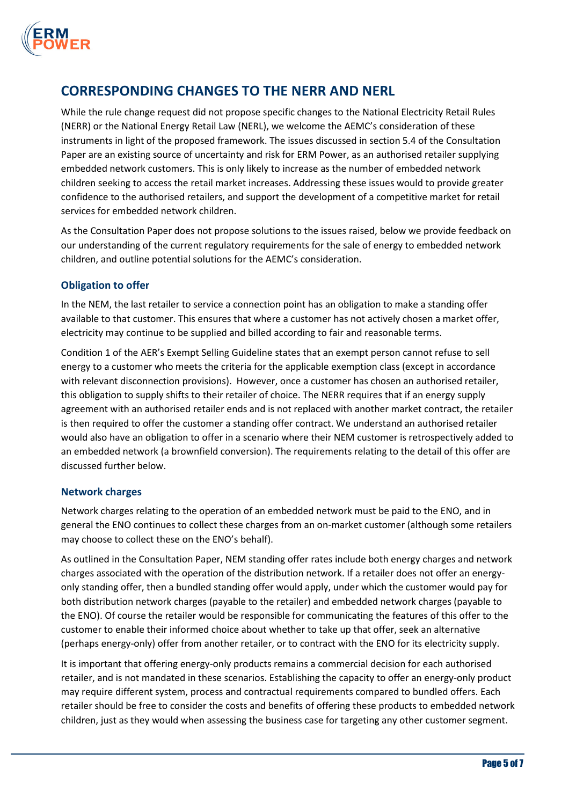

# CORRESPONDING CHANGES TO THE NERR AND NERL

While the rule change request did not propose specific changes to the National Electricity Retail Rules (NERR) or the National Energy Retail Law (NERL), we welcome the AEMC's consideration of these instruments in light of the proposed framework. The issues discussed in section 5.4 of the Consultation Paper are an existing source of uncertainty and risk for ERM Power, as an authorised retailer supplying embedded network customers. This is only likely to increase as the number of embedded network children seeking to access the retail market increases. Addressing these issues would to provide greater confidence to the authorised retailers, and support the development of a competitive market for retail services for embedded network children.

As the Consultation Paper does not propose solutions to the issues raised, below we provide feedback on our understanding of the current regulatory requirements for the sale of energy to embedded network children, and outline potential solutions for the AEMC's consideration.

## Obligation to offer

In the NEM, the last retailer to service a connection point has an obligation to make a standing offer available to that customer. This ensures that where a customer has not actively chosen a market offer, electricity may continue to be supplied and billed according to fair and reasonable terms.

Condition 1 of the AER's Exempt Selling Guideline states that an exempt person cannot refuse to sell energy to a customer who meets the criteria for the applicable exemption class (except in accordance with relevant disconnection provisions). However, once a customer has chosen an authorised retailer, this obligation to supply shifts to their retailer of choice. The NERR requires that if an energy supply agreement with an authorised retailer ends and is not replaced with another market contract, the retailer is then required to offer the customer a standing offer contract. We understand an authorised retailer would also have an obligation to offer in a scenario where their NEM customer is retrospectively added to an embedded network (a brownfield conversion). The requirements relating to the detail of this offer are discussed further below.

## Network charges

Network charges relating to the operation of an embedded network must be paid to the ENO, and in general the ENO continues to collect these charges from an on-market customer (although some retailers may choose to collect these on the ENO's behalf).

As outlined in the Consultation Paper, NEM standing offer rates include both energy charges and network charges associated with the operation of the distribution network. If a retailer does not offer an energyonly standing offer, then a bundled standing offer would apply, under which the customer would pay for both distribution network charges (payable to the retailer) and embedded network charges (payable to the ENO). Of course the retailer would be responsible for communicating the features of this offer to the customer to enable their informed choice about whether to take up that offer, seek an alternative (perhaps energy-only) offer from another retailer, or to contract with the ENO for its electricity supply.

It is important that offering energy-only products remains a commercial decision for each authorised retailer, and is not mandated in these scenarios. Establishing the capacity to offer an energy-only product may require different system, process and contractual requirements compared to bundled offers. Each retailer should be free to consider the costs and benefits of offering these products to embedded network children, just as they would when assessing the business case for targeting any other customer segment.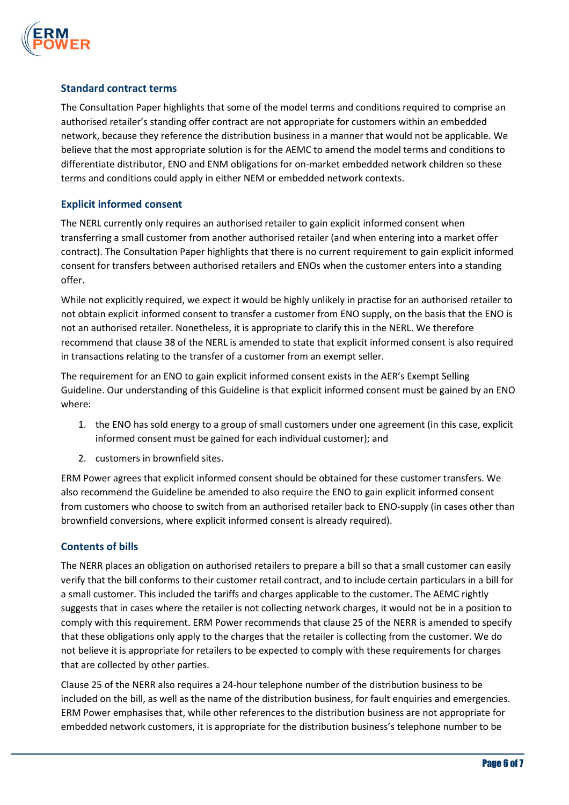

#### Standard contract terms

The Consultation Paper highlights that some of the model terms and conditions required to comprise an authorised retailer's standing offer contract are not appropriate for customers within an embedded network, because they reference the distribution business in a manner that would not be applicable. We believe that the most appropriate solution is for the AEMC to amend the model terms and conditions to differentiate distributor, ENO and ENM obligations for on-market embedded network children so these terms and conditions could apply in either NEM or embedded network contexts.

#### Explicit informed consent

The NERL currently only requires an authorised retailer to gain explicit informed consent when transferring a small customer from another authorised retailer (and when entering into a market offer contract). The Consultation Paper highlights that there is no current requirement to gain explicit informed consent for transfers between authorised retailers and ENOs when the customer enters into a standing offer.

While not explicitly required, we expect it would be highly unlikely in practise for an authorised retailer to not obtain explicit informed consent to transfer a customer from ENO supply, on the basis that the ENO is not an authorised retailer. Nonetheless, it is appropriate to clarify this in the NERL. We therefore recommend that clause 38 of the NERL is amended to state that explicit informed consent is also required in transactions relating to the transfer of a customer from an exempt seller.

The requirement for an ENO to gain explicit informed consent exists in the AER's Exempt Selling Guideline. Our understanding of this Guideline is that explicit informed consent must be gained by an ENO where:

- 1. the ENO has sold energy to a group of small customers under one agreement (in this case, explicit informed consent must be gained for each individual customer); and
- 2. customers in brownfield sites.

ERM Power agrees that explicit informed consent should be obtained for these customer transfers. We also recommend the Guideline be amended to also require the ENO to gain explicit informed consent from customers who choose to switch from an authorised retailer back to ENO-supply (in cases other than brownfield conversions, where explicit informed consent is already required).

## Contents of bills

The NERR places an obligation on authorised retailers to prepare a bill so that a small customer can easily verify that the bill conforms to their customer retail contract, and to include certain particulars in a bill for a small customer. This included the tariffs and charges applicable to the customer. The AEMC rightly suggests that in cases where the retailer is not collecting network charges, it would not be in a position to comply with this requirement. ERM Power recommends that clause 25 of the NERR is amended to specify that these obligations only apply to the charges that the retailer is collecting from the customer. We do not believe it is appropriate for retailers to be expected to comply with these requirements for charges that are collected by other parties.

Clause 25 of the NERR also requires a 24-hour telephone number of the distribution business to be included on the bill, as well as the name of the distribution business, for fault enquiries and emergencies. ERM Power emphasises that, while other references to the distribution business are not appropriate for embedded network customers, it is appropriate for the distribution business's telephone number to be